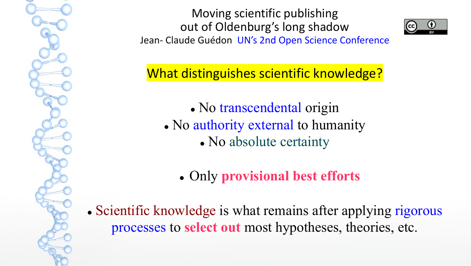

What distinguishes scientific knowledge?

- No transcendental origin
- No authority external to humanity
	- No absolute certainty
	- **.** Only **provisional best efforts**

• Scientific knowledge is what remains after applying rigorous processes to **select out** most hypotheses, theories, etc.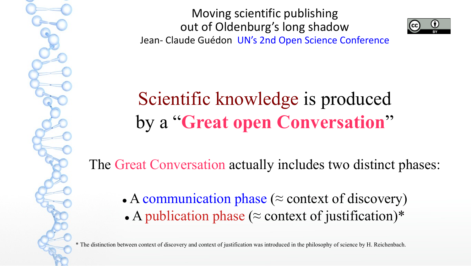

Scientific knowledge is produced by a "**Great open Conversation**"

The Great Conversation actually includes two distinct phases:

• A communication phase ( $\approx$  context of discovery) • A publication phase ( $\approx$  context of justification)\*

\* The distinction between context of discovery and context of justification was introduced in the philosophy of science by H. Reichenbach.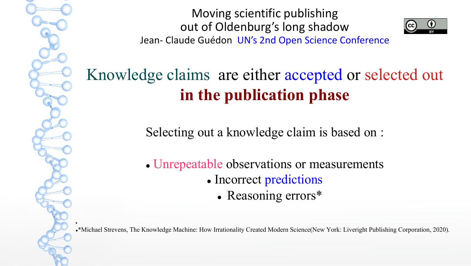$\bullet$ 

Moving scientific publishing out of Oldenburg's long shadow Jean- Claude Guédon UN's 2nd Open Science Conference



Knowledge claims are either accepted or selected out **in the publication phase**

Selecting out a knowledge claim is based on :

• Unrepeatable observations or measurements • Incorrect predictions

• Reasoning errors\*

l\*Michael Strevens, The Knowledge Machine: How Irrationality Created Modern Science(New York: Liveright Publishing Corporation, 2020).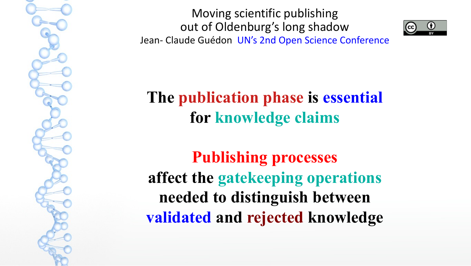



**The publication phase is essential for knowledge claims**

**Publishing processes affect the gatekeeping operations needed to distinguish between validated and rejected knowledge**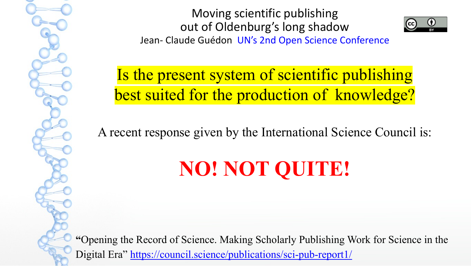Is the present system of scientific pul best suited for the production of know

A recent response given by the International Science

# **NO! NOT QUITE!**

"Opening the Record of Science. Making Scholarly Publishing Work Digital Era" https://council.science/publications/sci-pub-report1/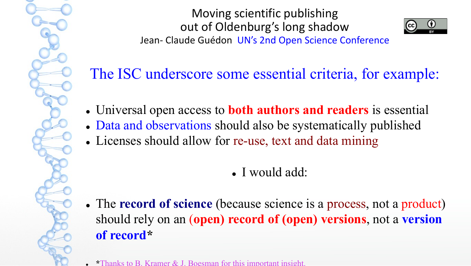

The ISC underscore some essential criteria, for example:

- <sup>l</sup> Universal open access to **both authors and readers** is essential
- Data and observations should also be systematically published
- Licenses should allow for re-use, text and data mining
	- <sup>l</sup> I would add:
- The **record of science** (because science is a process, not a product) should rely on an (**open) record of (open) versions**, not a **version of record\***
- <sup>l</sup> **\***Thanks to B. Kramer & J. Boesman for this important insight.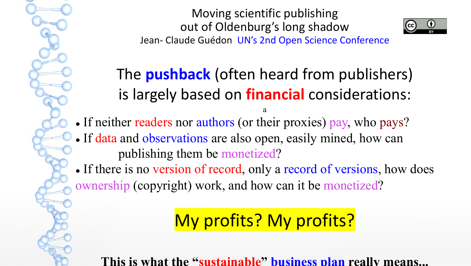

The **pushback** (often heard from publishers) is largely based on **financial** considerations:

a

- If neither readers nor authors (or their proxies) pay, who pays?
- If data and observations are also open, easily mined, how can publishing them be monetized?
- If there is no version of record, only a record of versions, how does ownership (copyright) work, and how can it be monetized?

## My profits? My profits?

**This is what the "sustainable" business plan really means...**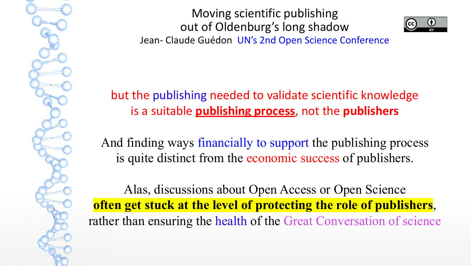

but the publishing needed to validate scientific knowledge is a suitable **publishing process**, not the **publishers**

And finding ways financially to support the publishing process is quite distinct from the economic success of publishers.

Alas, discussions about Open Access or Open Science **often get stuck at the level of protecting the role of publishers**, rather than ensuring the health of the Great Conversation of science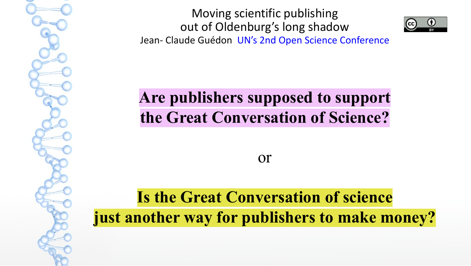

**Are publishers supposed to support the Great Conversation of Science?**

or

## **Is the Great Conversation of science just another way for publishers to make money?**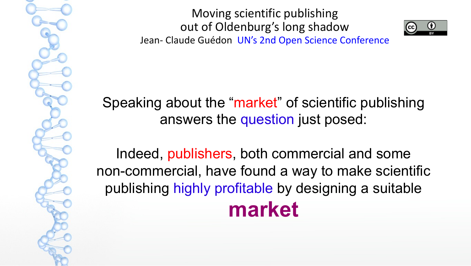



Speaking about the "market" of scientific publishing answers the question just posed:

Indeed, publishers, both commercial and some non-commercial, have found a way to make scientific publishing highly profitable by designing a suitable **market**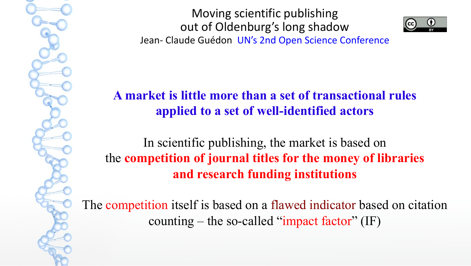

**A market is little more than a set of transactional rules applied to a set of well-identified actors**

In scientific publishing, the market is based on the **competition of journal titles for the money of libraries and research funding institutions**

The competition itself is based on a flawed indicator based on citation counting – the so-called "impact factor"  $(IF)$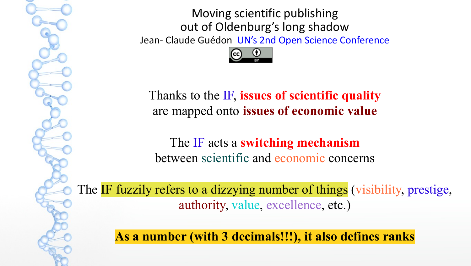

Thanks to the IF, **issues of scientific quality** are mapped onto **issues of economic value**

The IF acts a **switching mechanism** between scientific and economic concerns

The IF fuzzily refers to a dizzying number of things (visibility, prestige, authority, value, excellence, etc.)

**As a number (with 3 decimals!!!), it also defines ranks**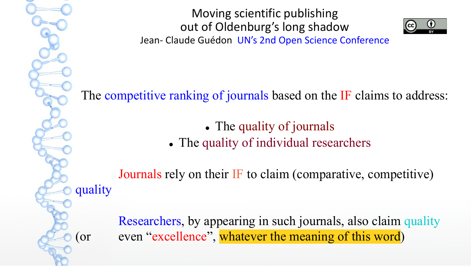quality

Moving scientific publishing out of Oldenburg's long shadow Jean- Claude Guédon UN's 2nd Open Science Conference



The competitive ranking of journals based on the IF claims to address:

• The quality of journals

• The quality of individual researchers

Journals rely on their IF to claim (comparative, competitive)

Researchers, by appearing in such journals, also claim quality (or even "excellence", whatever the meaning of this word)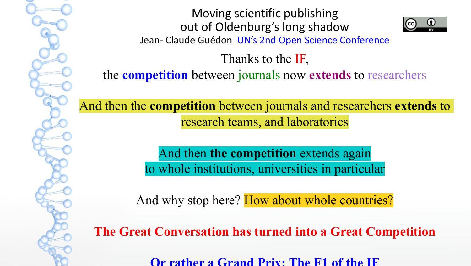

Thanks to the IF,

the **competition** between journals now **extends** to researchers

And then the **competition** between journals and researchers **extends** to research teams, and laboratories

> And then **the competition** extends again to whole institutions, universities in particular

And why stop here? How about whole countries?

**The Great Conversation has turned into a Great Competition**

**Or rather a Grand Prix: The F1 of the IF**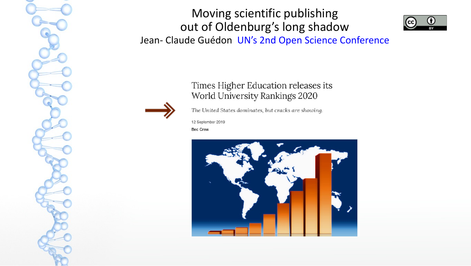

Times Higher Education releases its World University Rankings 2020



The United States dominates, but cracks are showing.

12 September 2019

**Bec Crew** 

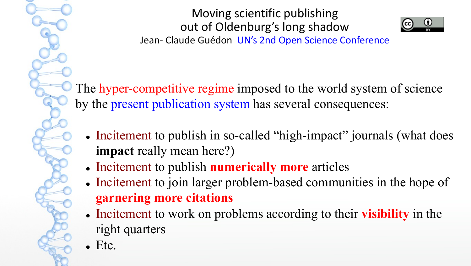

The hyper-competitive regime imposed to the world system of science by the present publication system has several consequences:

- Incitement to publish in so-called "high-impact" journals (what does **impact** really mean here?)
- **.** Incitement to publish **numerically more** articles
- Incitement to join larger problem-based communities in the hope of **garnering more citations**
- Incitement to work on problems according to their **visibility** in the right quarters
- l Etc.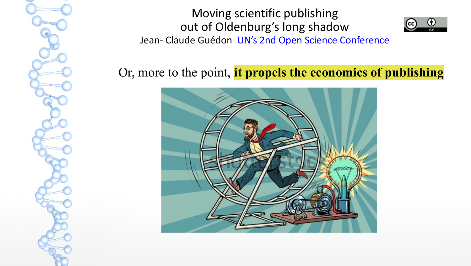

Or, more to the point, **it propels the economics of publishing**

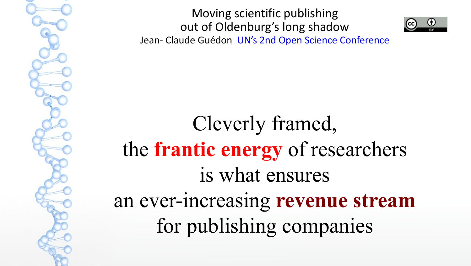



Cleverly framed, the **frantic energy** of researchers is what ensures an ever-increasing **revenue stream** for publishing companies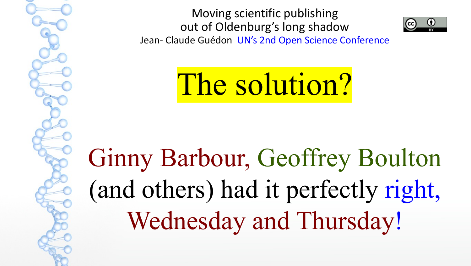

The solution?

Ginny Barbour, Geoffrey Boulton (and others) had it perfectly right, Wednesday and Thursday!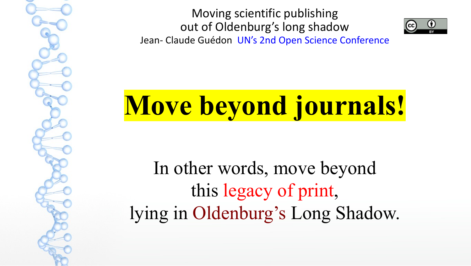

**Move beyond journals!**

In other words, move beyond this legacy of print, lying in Oldenburg's Long Shadow.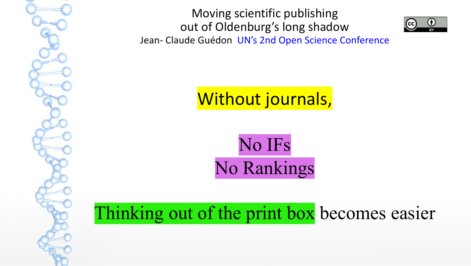



Without journals,

No IFs No Rankings

Thinking out of the print box becomes easier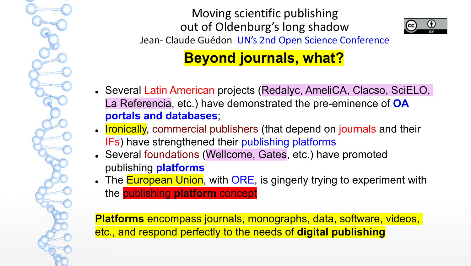



**Beyond journals, what?**

- Several Latin American projects (Redalyc, AmeliCA, Clacso, SciELO, La Referencia, etc.) have demonstrated the pre-eminence of **OA portals and databases**;
- Ironically, commercial publishers (that depend on journals and their IFs) have strengthened their publishing platforms
- Several foundations (Wellcome, Gates, etc.) have promoted publishing **platforms**
- The **European Union**, with ORE, is gingerly trying to experiment with the publishing **platform** concept

**Platforms** encompass journals, monographs, data, software, videos, etc., and respond perfectly to the needs of **digital publishing**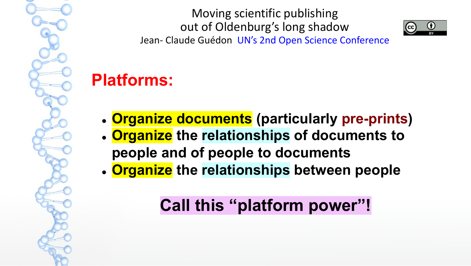Moving scientific publishing out of Oldenburg's long shadow



Jean- Claude Guédon UN's 2nd Open Science Conference

## **Platforms:**

- <sup>l</sup> **Organize documents (particularly pre-prints)**
- <sup>l</sup> **Organize the relationships of documents to people and of people to documents**
- <sup>l</sup> **Organize the relationships between people**

## **Call this "platform power"!**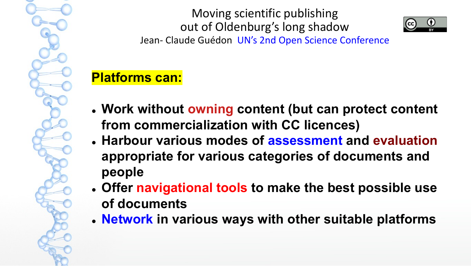Moving scientific publishing out of Oldenburg's long shadow



Jean- Claude Guédon UN's 2nd Open Science Conference

#### **Platforms can:**

- <sup>l</sup> **Work without owning content (but can protect content from commercialization with CC licences)**
- <sup>l</sup> **Harbour various modes of assessment and evaluation appropriate for various categories of documents and people**
- <sup>l</sup> **Offer navigational tools to make the best possible use of documents**
- <sup>l</sup> **Network in various ways with other suitable platforms**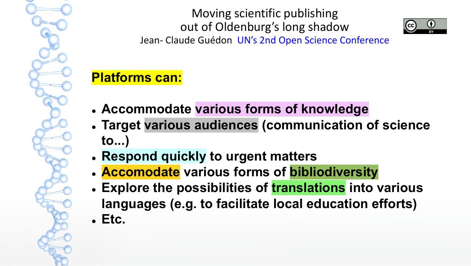Moving scientific publishing out of Oldenburg's long shadow



Jean- Claude Guédon UN's 2nd Open Science Conference

### **Platforms can:**

- **. Accommodate various forms of knowledge**
- <sup>l</sup> **Target various audiences (communication of science to...)**
- <sup>l</sup> **Respond quickly to urgent matters**
- <sup>l</sup> **Accomodate various forms of bibliodiversity**
- <sup>l</sup> **Explore the possibilities of translations into various languages (e.g. to facilitate local education efforts)** <sup>l</sup> **Etc.**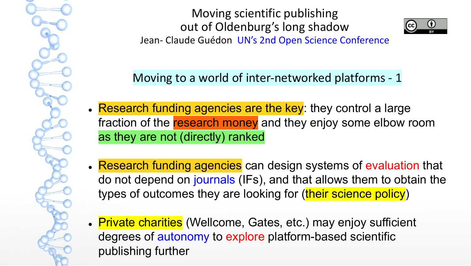

Moving to a world of inter-networked platforms - 1

- . Research funding agencies are the key: they control a large fraction of the research money and they enjoy some elbow room as they are not (directly) ranked
- . Research funding agencies can design systems of evaluation that do not depend on journals (IFs), and that allows them to obtain the types of outcomes they are looking for (their science policy)
- Private charities (Wellcome, Gates, etc.) may enjoy sufficient degrees of autonomy to explore platform-based scientific publishing further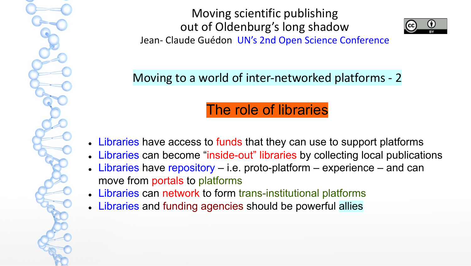

Moving to a world of inter-networked platforms - 2

## The role of libraries

- Libraries have access to funds that they can use to support platforms
- Libraries can become "inside-out" libraries by collecting local publications
- $\bullet$  Libraries have repository i.e. proto-platform experience and can move from portals to platforms
- Libraries can network to form trans-institutional platforms
- Libraries and funding agencies should be powerful allies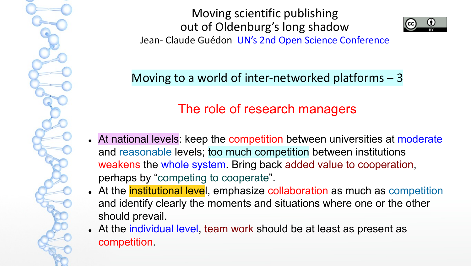

Moving to a world of inter-networked platforms – 3

### The role of research managers

- At national levels: keep the competition between universities at moderate and reasonable levels; too much competition between institutions weakens the whole system. Bring back added value to cooperation, perhaps by "competing to cooperate".
- . At the institutional level, emphasize collaboration as much as competition and identify clearly the moments and situations where one or the other should prevail.
- At the individual level, team work should be at least as present as competition.